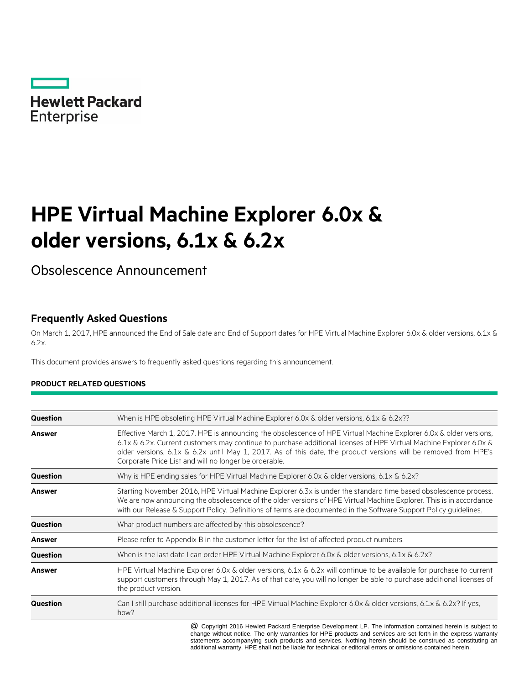

# **HPE Virtual Machine Explorer 6.0x & older versions, 6.1x & 6.2x**

Obsolescence Announcement

# **Frequently Asked Questions**

On March 1, 2017, HPE announced the End of Sale date and End of Support dates for HPE Virtual Machine Explorer 6.0x & older versions, 6.1x & 6.2x.

This document provides answers to frequently asked questions regarding this announcement.

#### **PRODUCT RELATED QUESTIONS**

| <b>Question</b> | When is HPE obsoleting HPE Virtual Machine Explorer 6.0x & older versions, 6.1x & 6.2x??                                                                                                                                                                                                                                                                                                                             |
|-----------------|----------------------------------------------------------------------------------------------------------------------------------------------------------------------------------------------------------------------------------------------------------------------------------------------------------------------------------------------------------------------------------------------------------------------|
| Answer          | Effective March 1, 2017, HPE is announcing the obsolescence of HPE Virtual Machine Explorer 6.0x & older versions,<br>6.1x & 6.2x. Current customers may continue to purchase additional licenses of HPE Virtual Machine Explorer 6.0x &<br>older versions, 6.1x & 6.2x until May 1, 2017. As of this date, the product versions will be removed from HPE's<br>Corporate Price List and will no longer be orderable. |
| <b>Question</b> | Why is HPE ending sales for HPE Virtual Machine Explorer 6.0x & older versions, 6.1x & 6.2x?                                                                                                                                                                                                                                                                                                                         |
| Answer          | Starting November 2016, HPE Virtual Machine Explorer 6.3x is under the standard time based obsolescence process.<br>We are now announcing the obsolescence of the older versions of HPE Virtual Machine Explorer. This is in accordance<br>with our Release & Support Policy. Definitions of terms are documented in the Software Support Policy guidelines.                                                         |
| <b>Question</b> | What product numbers are affected by this obsolescence?                                                                                                                                                                                                                                                                                                                                                              |
| Answer          | Please refer to Appendix B in the customer letter for the list of affected product numbers.                                                                                                                                                                                                                                                                                                                          |
| <b>Question</b> | When is the last date I can order HPE Virtual Machine Explorer 6.0x & older versions, 6.1x & 6.2x?                                                                                                                                                                                                                                                                                                                   |
| <b>Answer</b>   | HPE Virtual Machine Explorer 6.0x & older versions, 6.1x & 6.2x will continue to be available for purchase to current<br>support customers through May 1, 2017. As of that date, you will no longer be able to purchase additional licenses of<br>the product version.                                                                                                                                               |
| <b>Question</b> | Can I still purchase additional licenses for HPE Virtual Machine Explorer 6.0x & older versions, 6.1x & 6.2x? If yes,<br>how?                                                                                                                                                                                                                                                                                        |
|                 |                                                                                                                                                                                                                                                                                                                                                                                                                      |

 $@$  Copyright 2016 Hewlett Packard Enterprise Development LP. The information contained herein is subject to change without notice. The only warranties for HPE products and services are set forth in the express warranty statements accompanying such products and services. Nothing herein should be construed as constituting an additional warranty. HPE shall not be liable for technical or editorial errors or omissions contained herein.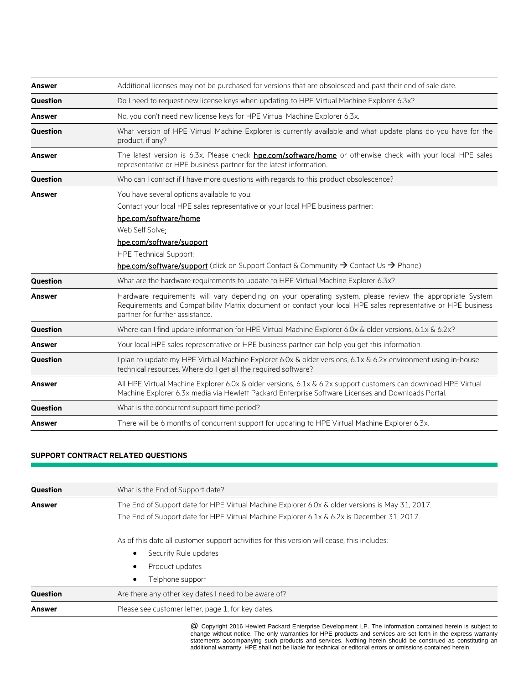| Answer          | Additional licenses may not be purchased for versions that are obsolesced and past their end of sale date.                                                                                                                                                                                                                                                    |
|-----------------|---------------------------------------------------------------------------------------------------------------------------------------------------------------------------------------------------------------------------------------------------------------------------------------------------------------------------------------------------------------|
| <b>Question</b> | Do I need to request new license keys when updating to HPE Virtual Machine Explorer 6.3x?                                                                                                                                                                                                                                                                     |
| <b>Answer</b>   | No, you don't need new license keys for HPE Virtual Machine Explorer 6.3x.                                                                                                                                                                                                                                                                                    |
| Question        | What version of HPE Virtual Machine Explorer is currently available and what update plans do you have for the<br>product, if any?                                                                                                                                                                                                                             |
| <b>Answer</b>   | The latest version is 6.3x. Please check hpe.com/software/home or otherwise check with your local HPE sales<br>representative or HPE business partner for the latest information.                                                                                                                                                                             |
| <b>Question</b> | Who can I contact if I have more questions with regards to this product obsolescence?                                                                                                                                                                                                                                                                         |
| <b>Answer</b>   | You have several options available to you:<br>Contact your local HPE sales representative or your local HPE business partner:<br>hpe.com/software/home<br>Web Self Solve:<br>hpe.com/software/support<br><b>HPE Technical Support:</b><br><b>hpe.com/software/support</b> (click on Support Contact & Community $\rightarrow$ Contact Us $\rightarrow$ Phone) |
| Question        | What are the hardware requirements to update to HPE Virtual Machine Explorer 6.3x?                                                                                                                                                                                                                                                                            |
| <b>Answer</b>   | Hardware requirements will vary depending on your operating system, please review the appropriate System<br>Requirements and Compatibility Matrix document or contact your local HPE sales representative or HPE business<br>partner for further assistance.                                                                                                  |
| <b>Question</b> | Where can I find update information for HPE Virtual Machine Explorer 6.0x & older versions, 6.1x & 6.2x?                                                                                                                                                                                                                                                      |
| <b>Answer</b>   | Your local HPE sales representative or HPE business partner can help you get this information.                                                                                                                                                                                                                                                                |
| <b>Question</b> | I plan to update my HPE Virtual Machine Explorer 6.0x & older versions, 6.1x & 6.2x environment using in-house<br>technical resources. Where do I get all the required software?                                                                                                                                                                              |
| <b>Answer</b>   | All HPE Virtual Machine Explorer 6.0x & older versions, 6.1x & 6.2x support customers can download HPE Virtual<br>Machine Explorer 6.3x media via Hewlett Packard Enterprise Software Licenses and Downloads Portal.                                                                                                                                          |
| <b>Question</b> | What is the concurrent support time period?                                                                                                                                                                                                                                                                                                                   |
| <b>Answer</b>   | There will be 6 months of concurrent support for updating to HPE Virtual Machine Explorer 6.3x.                                                                                                                                                                                                                                                               |

### **SUPPORT CONTRACT RELATED QUESTIONS**

| <b>Question</b> | What is the End of Support date?                                                                                                                                                              |
|-----------------|-----------------------------------------------------------------------------------------------------------------------------------------------------------------------------------------------|
| <b>Answer</b>   | The End of Support date for HPE Virtual Machine Explorer 6.0x & older versions is May 31, 2017.<br>The End of Support date for HPE Virtual Machine Explorer 6.1x & 6.2x is December 31, 2017. |
|                 | As of this date all customer support activities for this version will cease, this includes:<br>Security Rule updates<br>Product updates<br>Telphone support                                   |
| <b>Question</b> | Are there any other key dates I need to be aware of?                                                                                                                                          |
| <b>Answer</b>   | Please see customer letter, page 1, for key dates.                                                                                                                                            |

<sup>@</sup> Copyright 2016 Hewlett Packard Enterprise Development LP. The information contained herein is subject to change without notice. The only warranties for HPE products and services are set forth in the express warranty statements accompanying such products and services. Nothing herein should be construed as constituting an additional warranty. HPE shall not be liable for technical or editorial errors or omissions contained herein.